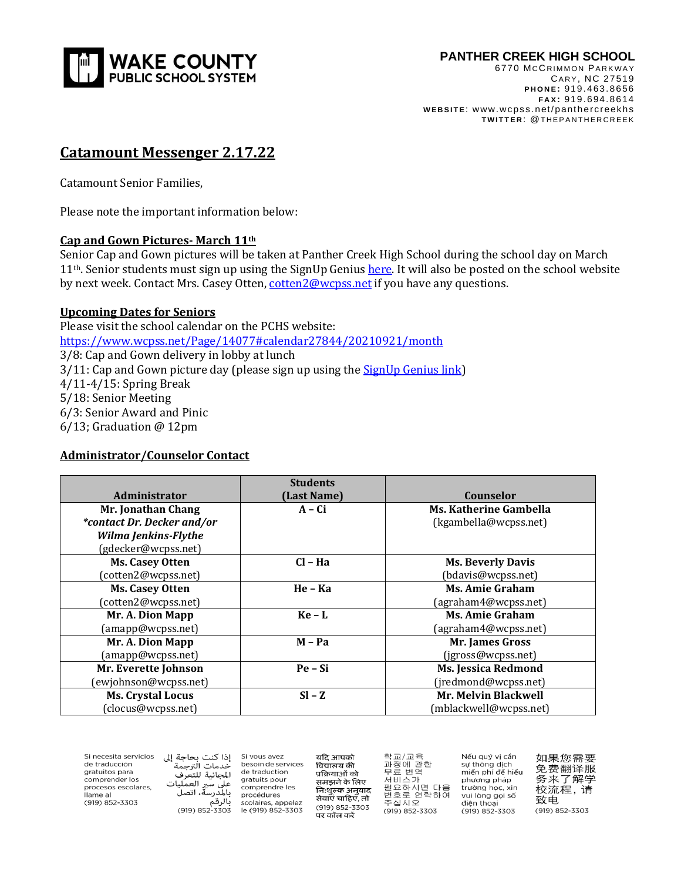

6770 MCCRIMMON PARKWAY CARY, NC 27519  **P H O N E:** 919. 463. 8656  **F A X:** 919. 694. 8614  **W EB S I T E**: www.wcpss. net/ pant hercreekhs **TWITTER: @THEPANTHERCREEK** 

## **Catamount Messenger 2.17.22**

Catamount Senior Families,

Please note the important information below:

## **Cap and Gown Pictures- March 11th**

Senior Cap and Gown pictures will be taken at Panther Creek High School during the school day on March 11<sup>th</sup>. Senior students must sign up using the SignUp Genius [here.](https://www.signupgenius.com/go/60B0948ADA82EA20-senior) It will also be posted on the school website by next week. Contact Mrs. Casey Otten, [cotten2@wcpss.net](mailto:cotten2@wcpss.net) if you have any questions.

## **Upcoming Dates for Seniors**

Please visit the school calendar on the PCHS website: <https://www.wcpss.net/Page/14077#calendar27844/20210921/month> 3/8: Cap and Gown delivery in lobby at lunch  $3/11$ : Cap and Gown picture day (please sign up using the  $SignUp$  Genius link) 4/11-4/15: Spring Break 5/18: Senior Meeting 6/3: Senior Award and Pinic 6/13; Graduation @ 12pm

## **Administrator/Counselor Contact**

|                             | <b>Students</b> |                               |
|-----------------------------|-----------------|-------------------------------|
| <b>Administrator</b>        | (Last Name)     | Counselor                     |
| Mr. Jonathan Chang          | $A - Ci$        | <b>Ms. Katherine Gambella</b> |
| *contact Dr. Decker and/or  |                 | (kgambella@wcpss.net)         |
| <b>Wilma Jenkins-Flythe</b> |                 |                               |
| (gdecker@wcpss.net)         |                 |                               |
| Ms. Casey Otten             | $Cl - Ha$       | <b>Ms. Beverly Davis</b>      |
| (cotten2@wcpss.net)         |                 | (bdavis@wcpss.net)            |
| Ms. Casey Otten             | He – Ka         | Ms. Amie Graham               |
| (cotten2@wcpss.net)         |                 | (agraham4@wcpss.net)          |
| Mr. A. Dion Mapp            | $Ke-L$          | Ms. Amie Graham               |
| (amapp@wcpss.net)           |                 | (agraham4@wcpss.net)          |
| Mr. A. Dion Mapp            | $M - Pa$        | Mr. James Gross               |
| (amapp@wcpss.net)           |                 | (jgross@wcpss.net)            |
| Mr. Everette Johnson        | $Pe-Si$         | <b>Ms. Jessica Redmond</b>    |
| (ewjohnson@wcpss.net)       |                 | (jredmond@wcpss.net)          |
| <b>Ms. Crystal Locus</b>    | $SI - Z$        | Mr. Melvin Blackwell          |
| (clocus@wcpss.net)          |                 | (mblackwell@wcpss.net)        |

학교/교육<br>과정에 관한 إذا كنت بحاجة إلى Si necesita servicios Si vous avez यदि आपको Nếu quý vị cần 如果您需要 de traducción besoin de services sự thông dịch خدمات الترجمة विद्यालय की 免费翻译服 gratuitos para 과음에 남<br>무료 번역<br>서비스가 de traduction miền phí để hiểu प्रक्रियाओं को المجانية للتعرف 务来了解学 comprender los gratuits pour phương pháp عَلَىٰ سَير العمَليات procesos escolares, comprendre les 필요하시면 다음 trường học, xin 校流程, 请 नि:शुल्क अनुवाद بالمدرسة، اتصلُ procédures 는 호로 연락하여<br>번호로 연락하여 llame al vui lòng gọi số सेवाएं चाहिएँ, तो بالرقم 致电 (919) 852-3303 scolaires, appelez điên thoai (919) 852-3303 (919) 852-3303 le (919) 852-3303  $(919) 852 - 3303$ (919) 852-3303 (919) 852-3303 पर कॉल करें